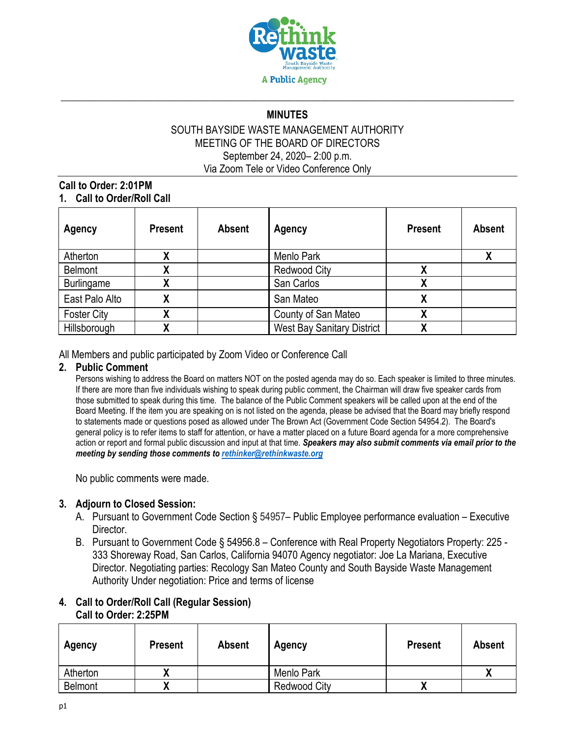

# \_\_\_\_\_\_\_\_\_\_\_\_\_\_\_\_\_\_\_\_\_\_\_\_\_\_\_\_\_\_\_\_\_\_\_\_\_\_\_\_\_\_\_\_\_\_\_\_\_\_\_\_\_\_\_\_\_\_\_\_\_\_\_\_\_\_\_\_\_\_\_\_\_\_\_\_\_\_\_\_\_\_\_\_\_\_\_\_\_ **MINUTES**

### SOUTH BAYSIDE WASTE MANAGEMENT AUTHORITY MEETING OF THE BOARD OF DIRECTORS September 24, 2020– 2:00 p.m. Via Zoom Tele or Video Conference Only

### **Call to Order: 2:01PM 1. Call to Order/Roll Call**

| <b>Agency</b>      | <b>Present</b> | <b>Absent</b> | Agency                            | <b>Present</b> | <b>Absent</b> |
|--------------------|----------------|---------------|-----------------------------------|----------------|---------------|
| Atherton           |                |               | Menlo Park                        |                |               |
| <b>Belmont</b>     |                |               | <b>Redwood City</b>               |                |               |
| Burlingame         |                |               | San Carlos                        |                |               |
| East Palo Alto     |                |               | San Mateo                         |                |               |
| <b>Foster City</b> |                |               | County of San Mateo               |                |               |
| Hillsborough       |                |               | <b>West Bay Sanitary District</b> |                |               |

#### All Members and public participated by Zoom Video or Conference Call

#### **2. Public Comment**

Persons wishing to address the Board on matters NOT on the posted agenda may do so. Each speaker is limited to three minutes. If there are more than five individuals wishing to speak during public comment, the Chairman will draw five speaker cards from those submitted to speak during this time. The balance of the Public Comment speakers will be called upon at the end of the Board Meeting. If the item you are speaking on is not listed on the agenda, please be advised that the Board may briefly respond to statements made or questions posed as allowed under The Brown Act (Government Code Section 54954.2). The Board's general policy is to refer items to staff for attention, or have a matter placed on a future Board agenda for a more comprehensive action or report and formal public discussion and input at that time. *Speakers may also submit comments via email prior to the meeting by sending those comments to [rethinker@rethinkwaste.org](mailto:rethinker@rethinkwaste.org)*

No public comments were made.

## **3. Adjourn to Closed Session:**

- A. Pursuant to Government Code Section § 54957– Public Employee performance evaluation Executive Director.
- B. Pursuant to Government Code § 54956.8 Conference with Real Property Negotiators Property: 225 333 Shoreway Road, San Carlos, California 94070 Agency negotiator: Joe La Mariana, Executive Director. Negotiating parties: Recology San Mateo County and South Bayside Waste Management Authority Under negotiation: Price and terms of license

#### **4. Call to Order/Roll Call (Regular Session) Call to Order: 2:25PM**

| Agency         | <b>Present</b> | <b>Absent</b> | Agency              | <b>Present</b> | <b>Absent</b> |
|----------------|----------------|---------------|---------------------|----------------|---------------|
| Atherton       |                |               | Menlo Park          |                | "             |
| <b>Belmont</b> |                |               | <b>Redwood City</b> | Λ              |               |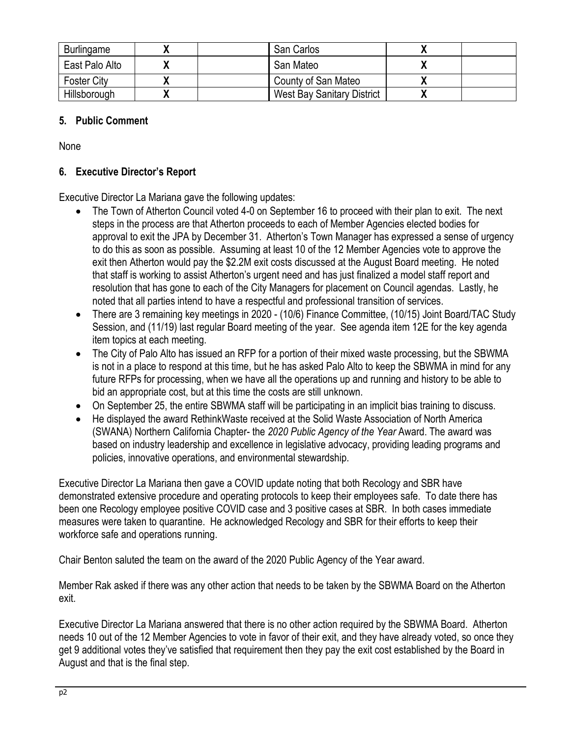| Burlingame         | San Carlos                 |  |
|--------------------|----------------------------|--|
| East Palo Alto     | San Mateo                  |  |
| <b>Foster City</b> | County of San Mateo        |  |
| Hillsborough       | West Bay Sanitary District |  |

## **5. Public Comment**

None

## **6. Executive Director's Report**

Executive Director La Mariana gave the following updates:

- The Town of Atherton Council voted 4-0 on September 16 to proceed with their plan to exit. The next steps in the process are that Atherton proceeds to each of Member Agencies elected bodies for approval to exit the JPA by December 31. Atherton's Town Manager has expressed a sense of urgency to do this as soon as possible. Assuming at least 10 of the 12 Member Agencies vote to approve the exit then Atherton would pay the \$2.2M exit costs discussed at the August Board meeting. He noted that staff is working to assist Atherton's urgent need and has just finalized a model staff report and resolution that has gone to each of the City Managers for placement on Council agendas. Lastly, he noted that all parties intend to have a respectful and professional transition of services.
- There are 3 remaining key meetings in 2020 (10/6) Finance Committee, (10/15) Joint Board/TAC Study Session, and (11/19) last regular Board meeting of the year. See agenda item 12E for the key agenda item topics at each meeting.
- The City of Palo Alto has issued an RFP for a portion of their mixed waste processing, but the SBWMA is not in a place to respond at this time, but he has asked Palo Alto to keep the SBWMA in mind for any future RFPs for processing, when we have all the operations up and running and history to be able to bid an appropriate cost, but at this time the costs are still unknown.
- On September 25, the entire SBWMA staff will be participating in an implicit bias training to discuss.
- He displayed the award RethinkWaste received at the Solid Waste Association of North America (SWANA) Northern California Chapter- the *2020 Public Agency of the Year* Award. The award was based on industry leadership and excellence in legislative advocacy, providing leading programs and policies, innovative operations, and environmental stewardship.

Executive Director La Mariana then gave a COVID update noting that both Recology and SBR have demonstrated extensive procedure and operating protocols to keep their employees safe. To date there has been one Recology employee positive COVID case and 3 positive cases at SBR. In both cases immediate measures were taken to quarantine. He acknowledged Recology and SBR for their efforts to keep their workforce safe and operations running.

Chair Benton saluted the team on the award of the 2020 Public Agency of the Year award.

Member Rak asked if there was any other action that needs to be taken by the SBWMA Board on the Atherton exit.

Executive Director La Mariana answered that there is no other action required by the SBWMA Board. Atherton needs 10 out of the 12 Member Agencies to vote in favor of their exit, and they have already voted, so once they get 9 additional votes they've satisfied that requirement then they pay the exit cost established by the Board in August and that is the final step.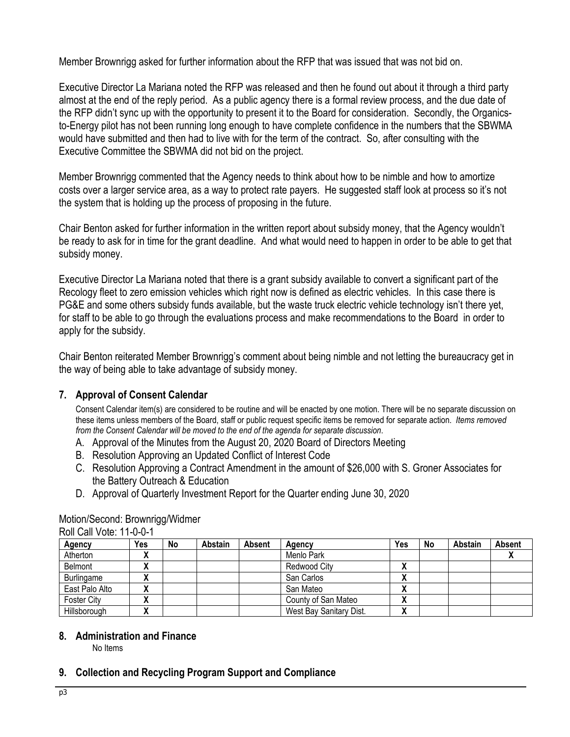Member Brownrigg asked for further information about the RFP that was issued that was not bid on.

Executive Director La Mariana noted the RFP was released and then he found out about it through a third party almost at the end of the reply period. As a public agency there is a formal review process, and the due date of the RFP didn't sync up with the opportunity to present it to the Board for consideration. Secondly, the Organicsto-Energy pilot has not been running long enough to have complete confidence in the numbers that the SBWMA would have submitted and then had to live with for the term of the contract. So, after consulting with the Executive Committee the SBWMA did not bid on the project.

Member Brownrigg commented that the Agency needs to think about how to be nimble and how to amortize costs over a larger service area, as a way to protect rate payers. He suggested staff look at process so it's not the system that is holding up the process of proposing in the future.

Chair Benton asked for further information in the written report about subsidy money, that the Agency wouldn't be ready to ask for in time for the grant deadline. And what would need to happen in order to be able to get that subsidy money.

Executive Director La Mariana noted that there is a grant subsidy available to convert a significant part of the Recology fleet to zero emission vehicles which right now is defined as electric vehicles. In this case there is PG&E and some others subsidy funds available, but the waste truck electric vehicle technology isn't there yet, for staff to be able to go through the evaluations process and make recommendations to the Board in order to apply for the subsidy.

Chair Benton reiterated Member Brownrigg's comment about being nimble and not letting the bureaucracy get in the way of being able to take advantage of subsidy money.

# **7. Approval of Consent Calendar**

Consent Calendar item(s) are considered to be routine and will be enacted by one motion. There will be no separate discussion on these items unless members of the Board, staff or public request specific items be removed for separate action. *Items removed from the Consent Calendar will be moved to the end of the agenda for separate discussion*.

- A. Approval of the Minutes from the August 20, 2020 Board of Directors Meeting
- B. Resolution Approving an Updated Conflict of Interest Code
- C. Resolution Approving a Contract Amendment in the amount of \$26,000 with S. Groner Associates for the Battery Outreach & Education
- D. Approval of Quarterly Investment Report for the Quarter ending June 30, 2020

#### Roll Call Vote: 11-0-0-1 **Agency Yes No Abstain Absent Agency Yes No Abstain Absent** Atherton **X** Menlo Park **X** Belmont **X X Redwood City X** Burlingame **X X**  $\vert$  **X**  $\vert$  **X**  $\vert$  San Carlos  $\vert$  **X East Palo Alto X X San Mateo X X S** County of San Mateo **X X County of San Mateo X** Foster City **X X** County of San Mateo **X**<br>
Hillsborough **X X** West Bay Sanitary Dist. **X** Hillsborough **X** X | West Bay Sanitary Dist.

# Motion/Second: Brownrigg/Widmer

**8. Administration and Finance**

No Items

# **9. Collection and Recycling Program Support and Compliance**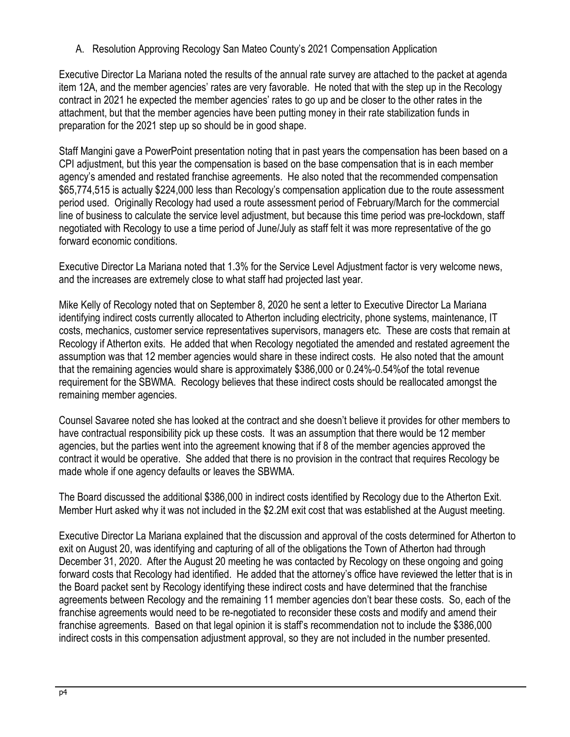A. Resolution Approving Recology San Mateo County's 2021 Compensation Application

Executive Director La Mariana noted the results of the annual rate survey are attached to the packet at agenda item 12A, and the member agencies' rates are very favorable. He noted that with the step up in the Recology contract in 2021 he expected the member agencies' rates to go up and be closer to the other rates in the attachment, but that the member agencies have been putting money in their rate stabilization funds in preparation for the 2021 step up so should be in good shape.

Staff Mangini gave a PowerPoint presentation noting that in past years the compensation has been based on a CPI adjustment, but this year the compensation is based on the base compensation that is in each member agency's amended and restated franchise agreements. He also noted that the recommended compensation \$65,774,515 is actually \$224,000 less than Recology's compensation application due to the route assessment period used. Originally Recology had used a route assessment period of February/March for the commercial line of business to calculate the service level adjustment, but because this time period was pre-lockdown, staff negotiated with Recology to use a time period of June/July as staff felt it was more representative of the go forward economic conditions.

Executive Director La Mariana noted that 1.3% for the Service Level Adjustment factor is very welcome news, and the increases are extremely close to what staff had projected last year.

Mike Kelly of Recology noted that on September 8, 2020 he sent a letter to Executive Director La Mariana identifying indirect costs currently allocated to Atherton including electricity, phone systems, maintenance, IT costs, mechanics, customer service representatives supervisors, managers etc. These are costs that remain at Recology if Atherton exits. He added that when Recology negotiated the amended and restated agreement the assumption was that 12 member agencies would share in these indirect costs. He also noted that the amount that the remaining agencies would share is approximately \$386,000 or 0.24%-0.54%of the total revenue requirement for the SBWMA. Recology believes that these indirect costs should be reallocated amongst the remaining member agencies.

Counsel Savaree noted she has looked at the contract and she doesn't believe it provides for other members to have contractual responsibility pick up these costs. It was an assumption that there would be 12 member agencies, but the parties went into the agreement knowing that if 8 of the member agencies approved the contract it would be operative. She added that there is no provision in the contract that requires Recology be made whole if one agency defaults or leaves the SBWMA.

The Board discussed the additional \$386,000 in indirect costs identified by Recology due to the Atherton Exit. Member Hurt asked why it was not included in the \$2.2M exit cost that was established at the August meeting.

Executive Director La Mariana explained that the discussion and approval of the costs determined for Atherton to exit on August 20, was identifying and capturing of all of the obligations the Town of Atherton had through December 31, 2020. After the August 20 meeting he was contacted by Recology on these ongoing and going forward costs that Recology had identified. He added that the attorney's office have reviewed the letter that is in the Board packet sent by Recology identifying these indirect costs and have determined that the franchise agreements between Recology and the remaining 11 member agencies don't bear these costs. So, each of the franchise agreements would need to be re-negotiated to reconsider these costs and modify and amend their franchise agreements. Based on that legal opinion it is staff's recommendation not to include the \$386,000 indirect costs in this compensation adjustment approval, so they are not included in the number presented.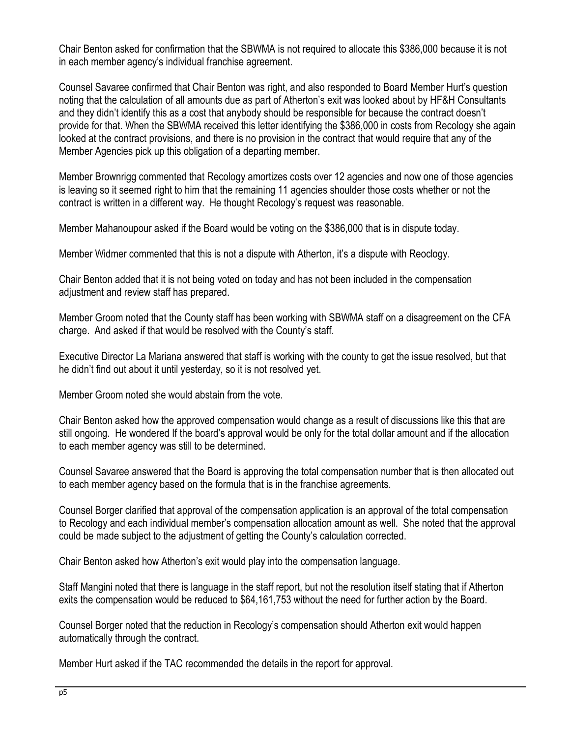Chair Benton asked for confirmation that the SBWMA is not required to allocate this \$386,000 because it is not in each member agency's individual franchise agreement.

Counsel Savaree confirmed that Chair Benton was right, and also responded to Board Member Hurt's question noting that the calculation of all amounts due as part of Atherton's exit was looked about by HF&H Consultants and they didn't identify this as a cost that anybody should be responsible for because the contract doesn't provide for that. When the SBWMA received this letter identifying the \$386,000 in costs from Recology she again looked at the contract provisions, and there is no provision in the contract that would require that any of the Member Agencies pick up this obligation of a departing member.

Member Brownrigg commented that Recology amortizes costs over 12 agencies and now one of those agencies is leaving so it seemed right to him that the remaining 11 agencies shoulder those costs whether or not the contract is written in a different way. He thought Recology's request was reasonable.

Member Mahanoupour asked if the Board would be voting on the \$386,000 that is in dispute today.

Member Widmer commented that this is not a dispute with Atherton, it's a dispute with Reoclogy.

Chair Benton added that it is not being voted on today and has not been included in the compensation adjustment and review staff has prepared.

Member Groom noted that the County staff has been working with SBWMA staff on a disagreement on the CFA charge. And asked if that would be resolved with the County's staff.

Executive Director La Mariana answered that staff is working with the county to get the issue resolved, but that he didn't find out about it until yesterday, so it is not resolved yet.

Member Groom noted she would abstain from the vote.

Chair Benton asked how the approved compensation would change as a result of discussions like this that are still ongoing. He wondered If the board's approval would be only for the total dollar amount and if the allocation to each member agency was still to be determined.

Counsel Savaree answered that the Board is approving the total compensation number that is then allocated out to each member agency based on the formula that is in the franchise agreements.

Counsel Borger clarified that approval of the compensation application is an approval of the total compensation to Recology and each individual member's compensation allocation amount as well. She noted that the approval could be made subject to the adjustment of getting the County's calculation corrected.

Chair Benton asked how Atherton's exit would play into the compensation language.

Staff Mangini noted that there is language in the staff report, but not the resolution itself stating that if Atherton exits the compensation would be reduced to \$64,161,753 without the need for further action by the Board.

Counsel Borger noted that the reduction in Recology's compensation should Atherton exit would happen automatically through the contract.

Member Hurt asked if the TAC recommended the details in the report for approval.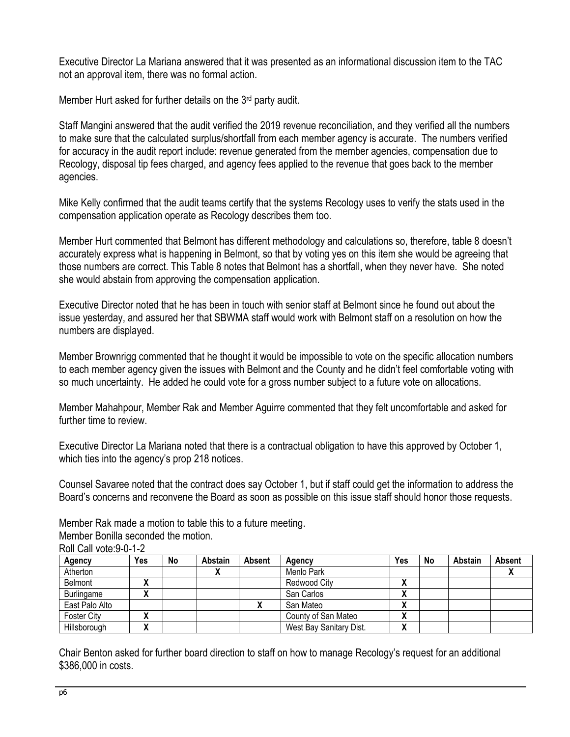Executive Director La Mariana answered that it was presented as an informational discussion item to the TAC not an approval item, there was no formal action.

Member Hurt asked for further details on the 3<sup>rd</sup> party audit.

Staff Mangini answered that the audit verified the 2019 revenue reconciliation, and they verified all the numbers to make sure that the calculated surplus/shortfall from each member agency is accurate. The numbers verified for accuracy in the audit report include: revenue generated from the member agencies, compensation due to Recology, disposal tip fees charged, and agency fees applied to the revenue that goes back to the member agencies.

Mike Kelly confirmed that the audit teams certify that the systems Recology uses to verify the stats used in the compensation application operate as Recology describes them too.

Member Hurt commented that Belmont has different methodology and calculations so, therefore, table 8 doesn't accurately express what is happening in Belmont, so that by voting yes on this item she would be agreeing that those numbers are correct. This Table 8 notes that Belmont has a shortfall, when they never have. She noted she would abstain from approving the compensation application.

Executive Director noted that he has been in touch with senior staff at Belmont since he found out about the issue yesterday, and assured her that SBWMA staff would work with Belmont staff on a resolution on how the numbers are displayed.

Member Brownrigg commented that he thought it would be impossible to vote on the specific allocation numbers to each member agency given the issues with Belmont and the County and he didn't feel comfortable voting with so much uncertainty. He added he could vote for a gross number subject to a future vote on allocations.

Member Mahahpour, Member Rak and Member Aguirre commented that they felt uncomfortable and asked for further time to review.

Executive Director La Mariana noted that there is a contractual obligation to have this approved by October 1, which ties into the agency's prop 218 notices.

Counsel Savaree noted that the contract does say October 1, but if staff could get the information to address the Board's concerns and reconvene the Board as soon as possible on this issue staff should honor those requests.

Member Rak made a motion to table this to a future meeting.

Member Bonilla seconded the motion.

| Agency             | Yes                | No | Abstain | Absent | Agency                  | Yes    | No | Abstain | Absent |
|--------------------|--------------------|----|---------|--------|-------------------------|--------|----|---------|--------|
| Atherton           |                    |    |         |        | Menlo Park              |        |    |         |        |
| Belmont            |                    |    |         |        | Redwood City            | Λ      |    |         |        |
| Burlingame         |                    |    |         |        | San Carlos              | `<br>Λ |    |         |        |
| East Palo Alto     |                    |    |         |        | San Mateo               | `<br>Λ |    |         |        |
| <b>Foster City</b> | $\mathbf{\Lambda}$ |    |         |        | County of San Mateo     | v<br>Δ |    |         |        |
| Hillsborough       | v                  |    |         |        | West Bay Sanitary Dist. | `<br>Δ |    |         |        |

Roll Call vote:9-0-1-2

Chair Benton asked for further board direction to staff on how to manage Recology's request for an additional \$386,000 in costs.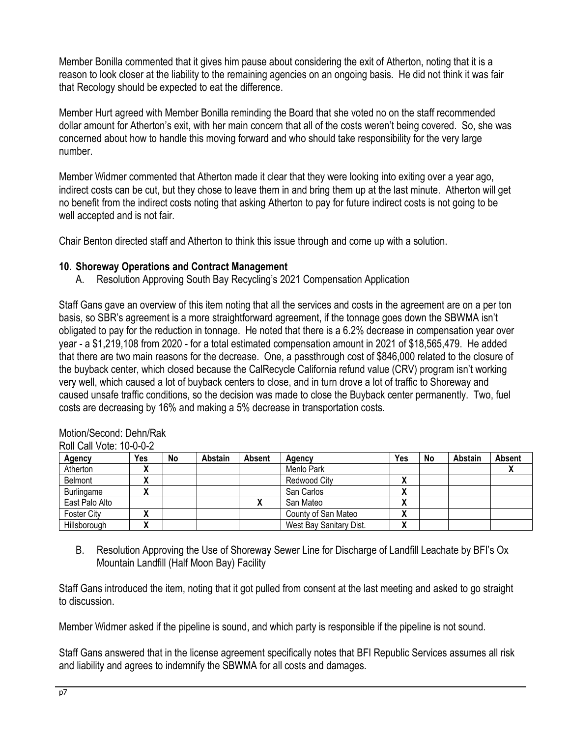Member Bonilla commented that it gives him pause about considering the exit of Atherton, noting that it is a reason to look closer at the liability to the remaining agencies on an ongoing basis. He did not think it was fair that Recology should be expected to eat the difference.

Member Hurt agreed with Member Bonilla reminding the Board that she voted no on the staff recommended dollar amount for Atherton's exit, with her main concern that all of the costs weren't being covered. So, she was concerned about how to handle this moving forward and who should take responsibility for the very large number.

Member Widmer commented that Atherton made it clear that they were looking into exiting over a year ago, indirect costs can be cut, but they chose to leave them in and bring them up at the last minute. Atherton will get no benefit from the indirect costs noting that asking Atherton to pay for future indirect costs is not going to be well accepted and is not fair.

Chair Benton directed staff and Atherton to think this issue through and come up with a solution.

## **10. Shoreway Operations and Contract Management**

A. Resolution Approving South Bay Recycling's 2021 Compensation Application

Staff Gans gave an overview of this item noting that all the services and costs in the agreement are on a per ton basis, so SBR's agreement is a more straightforward agreement, if the tonnage goes down the SBWMA isn't obligated to pay for the reduction in tonnage. He noted that there is a 6.2% decrease in compensation year over year - a \$1,219,108 from 2020 - for a total estimated compensation amount in 2021 of \$18,565,479. He added that there are two main reasons for the decrease. One, a passthrough cost of \$846,000 related to the closure of the buyback center, which closed because the CalRecycle California refund value (CRV) program isn't working very well, which caused a lot of buyback centers to close, and in turn drove a lot of traffic to Shoreway and caused unsafe traffic conditions, so the decision was made to close the Buyback center permanently. Two, fuel costs are decreasing by 16% and making a 5% decrease in transportation costs.

| <u>RUIL CAILVULE. TU-U-U-Z</u> |     |    |         |               |                         |                        |    |         |        |
|--------------------------------|-----|----|---------|---------------|-------------------------|------------------------|----|---------|--------|
| Agency                         | Yes | No | Abstain | <b>Absent</b> | Agency                  | <b>Yes</b>             | No | Abstain | Absent |
| Atherton                       | Λ   |    |         |               | Menlo Park              |                        |    |         |        |
| <b>Belmont</b>                 | Λ   |    |         |               | Redwood City            | Λ                      |    |         |        |
| Burlingame                     |     |    |         |               | San Carlos              | $\mathbf{v}$           |    |         |        |
| East Palo Alto                 |     |    |         |               | San Mateo               | $\mathbf{\mathcal{L}}$ |    |         |        |
| Foster City                    |     |    |         |               | County of San Mateo     | Λ                      |    |         |        |
| Hillsborough                   |     |    |         |               | West Bay Sanitary Dist. | Λ                      |    |         |        |

#### Motion/Second: Dehn/Rak Roll Call Vote: 10-0-0-2

B. Resolution Approving the Use of Shoreway Sewer Line for Discharge of Landfill Leachate by BFI's Ox Mountain Landfill (Half Moon Bay) Facility

Staff Gans introduced the item, noting that it got pulled from consent at the last meeting and asked to go straight to discussion.

Member Widmer asked if the pipeline is sound, and which party is responsible if the pipeline is not sound.

Staff Gans answered that in the license agreement specifically notes that BFI Republic Services assumes all risk and liability and agrees to indemnify the SBWMA for all costs and damages.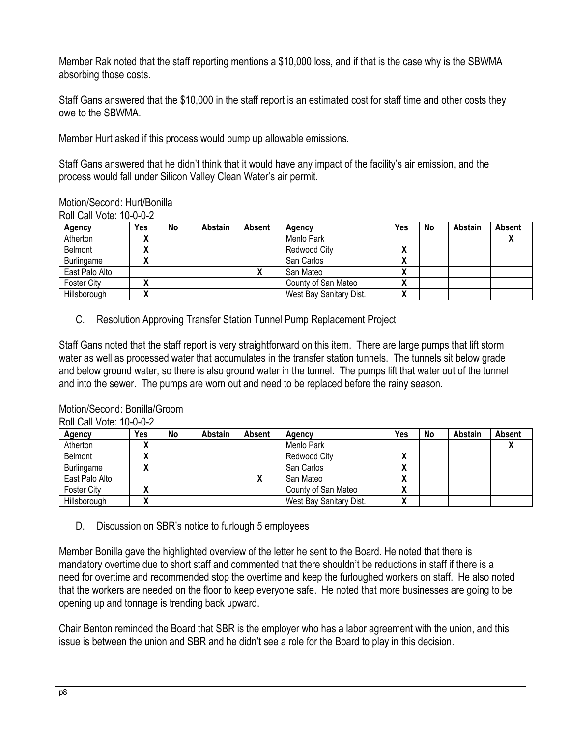Member Rak noted that the staff reporting mentions a \$10,000 loss, and if that is the case why is the SBWMA absorbing those costs.

Staff Gans answered that the \$10,000 in the staff report is an estimated cost for staff time and other costs they owe to the SBWMA.

Member Hurt asked if this process would bump up allowable emissions.

Staff Gans answered that he didn't think that it would have any impact of the facility's air emission, and the process would fall under Silicon Valley Clean Water's air permit.

## Motion/Second: Hurt/Bonilla

Roll Call Vote: 10-0-0-2

| Agency             | Yes | No | Abstain | <b>Absent</b> | Agency                  | Yes               | No | Abstain | <b>Absent</b> |
|--------------------|-----|----|---------|---------------|-------------------------|-------------------|----|---------|---------------|
| Atherton           | "   |    |         |               | Menlo Park              |                   |    |         |               |
| Belmont            | "   |    |         |               | Redwood City            | v<br>$\mathbf{v}$ |    |         |               |
| Burlingame         |     |    |         |               | San Carlos              | v<br>$\mathbf{v}$ |    |         |               |
| East Palo Alto     |     |    |         |               | San Mateo               | v<br>$\mathbf{v}$ |    |         |               |
| <b>Foster City</b> |     |    |         |               | County of San Mateo     | v<br>$\mathbf{v}$ |    |         |               |
| Hillsborough       |     |    |         |               | West Bay Sanitary Dist. | v<br>$\mathbf{v}$ |    |         |               |

C. Resolution Approving Transfer Station Tunnel Pump Replacement Project

Staff Gans noted that the staff report is very straightforward on this item. There are large pumps that lift storm water as well as processed water that accumulates in the transfer station tunnels. The tunnels sit below grade and below ground water, so there is also ground water in the tunnel. The pumps lift that water out of the tunnel and into the sewer. The pumps are worn out and need to be replaced before the rainy season.

## Motion/Second: Bonilla/Groom

Roll Call Vote: 10-0-0-2

| Agency             | Yes | No | Abstain | Absent | Agency                  | Yes               | <b>No</b> | Abstain | Absent |
|--------------------|-----|----|---------|--------|-------------------------|-------------------|-----------|---------|--------|
| Atherton           |     |    |         |        | Menlo Park              |                   |           |         |        |
| Belmont            | "   |    |         |        | Redwood City            | v<br>$\mathbf{v}$ |           |         |        |
| Burlingame         |     |    |         |        | San Carlos              | v<br>$\mathbf{v}$ |           |         |        |
| East Palo Alto     |     |    |         |        | San Mateo               | v<br>$\mathbf{v}$ |           |         |        |
| <b>Foster City</b> |     |    |         |        | County of San Mateo     | v<br>$\mathbf{v}$ |           |         |        |
| Hillsborough       |     |    |         |        | West Bay Sanitary Dist. | ۰.<br>Λ           |           |         |        |

D. Discussion on SBR's notice to furlough 5 employees

Member Bonilla gave the highlighted overview of the letter he sent to the Board. He noted that there is mandatory overtime due to short staff and commented that there shouldn't be reductions in staff if there is a need for overtime and recommended stop the overtime and keep the furloughed workers on staff. He also noted that the workers are needed on the floor to keep everyone safe. He noted that more businesses are going to be opening up and tonnage is trending back upward.

Chair Benton reminded the Board that SBR is the employer who has a labor agreement with the union, and this issue is between the union and SBR and he didn't see a role for the Board to play in this decision.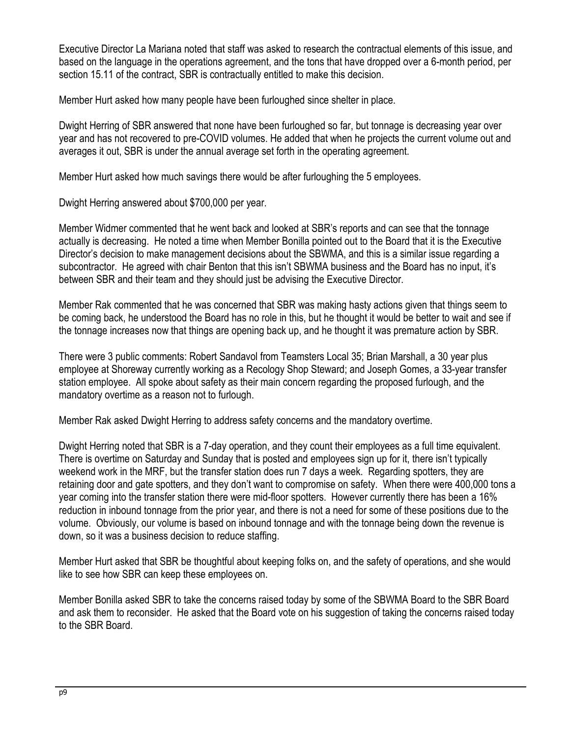Executive Director La Mariana noted that staff was asked to research the contractual elements of this issue, and based on the language in the operations agreement, and the tons that have dropped over a 6-month period, per section 15.11 of the contract, SBR is contractually entitled to make this decision.

Member Hurt asked how many people have been furloughed since shelter in place.

Dwight Herring of SBR answered that none have been furloughed so far, but tonnage is decreasing year over year and has not recovered to pre-COVID volumes. He added that when he projects the current volume out and averages it out, SBR is under the annual average set forth in the operating agreement.

Member Hurt asked how much savings there would be after furloughing the 5 employees.

Dwight Herring answered about \$700,000 per year.

Member Widmer commented that he went back and looked at SBR's reports and can see that the tonnage actually is decreasing. He noted a time when Member Bonilla pointed out to the Board that it is the Executive Director's decision to make management decisions about the SBWMA, and this is a similar issue regarding a subcontractor. He agreed with chair Benton that this isn't SBWMA business and the Board has no input, it's between SBR and their team and they should just be advising the Executive Director.

Member Rak commented that he was concerned that SBR was making hasty actions given that things seem to be coming back, he understood the Board has no role in this, but he thought it would be better to wait and see if the tonnage increases now that things are opening back up, and he thought it was premature action by SBR.

There were 3 public comments: Robert Sandavol from Teamsters Local 35; Brian Marshall, a 30 year plus employee at Shoreway currently working as a Recology Shop Steward; and Joseph Gomes, a 33-year transfer station employee. All spoke about safety as their main concern regarding the proposed furlough, and the mandatory overtime as a reason not to furlough.

Member Rak asked Dwight Herring to address safety concerns and the mandatory overtime.

Dwight Herring noted that SBR is a 7-day operation, and they count their employees as a full time equivalent. There is overtime on Saturday and Sunday that is posted and employees sign up for it, there isn't typically weekend work in the MRF, but the transfer station does run 7 days a week. Regarding spotters, they are retaining door and gate spotters, and they don't want to compromise on safety. When there were 400,000 tons a year coming into the transfer station there were mid-floor spotters. However currently there has been a 16% reduction in inbound tonnage from the prior year, and there is not a need for some of these positions due to the volume. Obviously, our volume is based on inbound tonnage and with the tonnage being down the revenue is down, so it was a business decision to reduce staffing.

Member Hurt asked that SBR be thoughtful about keeping folks on, and the safety of operations, and she would like to see how SBR can keep these employees on.

Member Bonilla asked SBR to take the concerns raised today by some of the SBWMA Board to the SBR Board and ask them to reconsider. He asked that the Board vote on his suggestion of taking the concerns raised today to the SBR Board.